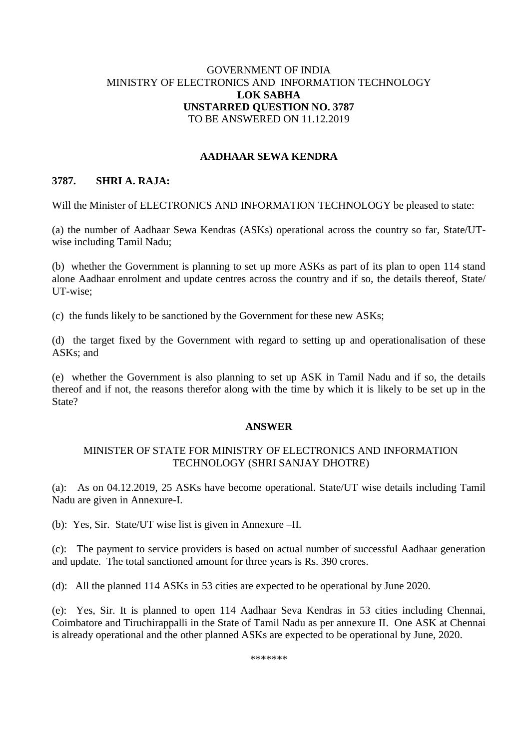## GOVERNMENT OF INDIA MINISTRY OF ELECTRONICS AND INFORMATION TECHNOLOGY **LOK SABHA UNSTARRED QUESTION NO. 3787** TO BE ANSWERED ON 11.12.2019

## **AADHAAR SEWA KENDRA**

## **3787. SHRI A. RAJA:**

Will the Minister of ELECTRONICS AND INFORMATION TECHNOLOGY be pleased to state:

(a) the number of Aadhaar Sewa Kendras (ASKs) operational across the country so far, State/UTwise including Tamil Nadu;

(b) whether the Government is planning to set up more ASKs as part of its plan to open 114 stand alone Aadhaar enrolment and update centres across the country and if so, the details thereof, State/ UT-wise;

(c) the funds likely to be sanctioned by the Government for these new ASKs;

(d) the target fixed by the Government with regard to setting up and operationalisation of these ASKs; and

(e) whether the Government is also planning to set up ASK in Tamil Nadu and if so, the details thereof and if not, the reasons therefor along with the time by which it is likely to be set up in the State?

#### **ANSWER**

## MINISTER OF STATE FOR MINISTRY OF ELECTRONICS AND INFORMATION TECHNOLOGY (SHRI SANJAY DHOTRE)

(a):As on 04.12.2019, 25 ASKs have become operational. State/UT wise details including Tamil Nadu are given in Annexure-I.

(b): Yes, Sir. State/UT wise list is given in Annexure –II.

(c):The payment to service providers is based on actual number of successful Aadhaar generation and update. The total sanctioned amount for three years is Rs. 390 crores.

(d): All the planned 114 ASKs in 53 cities are expected to be operational by June 2020.

(e): Yes, Sir. It is planned to open 114 Aadhaar Seva Kendras in 53 cities including Chennai, Coimbatore and Tiruchirappalli in the State of Tamil Nadu as per annexure II. One ASK at Chennai is already operational and the other planned ASKs are expected to be operational by June, 2020.

\*\*\*\*\*\*\*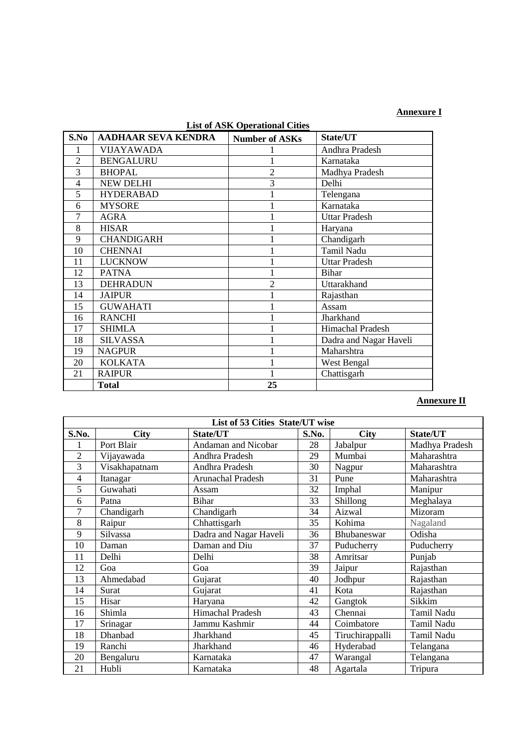**Annexure I**

| LIST OF ASIN OPERATIONAL CRIES |                            |                       |                        |  |  |  |  |  |
|--------------------------------|----------------------------|-----------------------|------------------------|--|--|--|--|--|
| S.No                           | <b>AADHAAR SEVA KENDRA</b> | <b>Number of ASKs</b> | State/UT               |  |  |  |  |  |
|                                | VIJAYAWADA                 |                       | Andhra Pradesh         |  |  |  |  |  |
| $\overline{2}$                 | <b>BENGALURU</b>           |                       | Karnataka              |  |  |  |  |  |
| 3                              | <b>BHOPAL</b>              | $\overline{2}$        | Madhya Pradesh         |  |  |  |  |  |
| 4                              | <b>NEW DELHI</b>           | 3                     | Delhi                  |  |  |  |  |  |
| 5                              | <b>HYDERABAD</b>           |                       | Telengana              |  |  |  |  |  |
| 6                              | <b>MYSORE</b>              |                       | Karnataka              |  |  |  |  |  |
| 7                              | <b>AGRA</b>                |                       | <b>Uttar Pradesh</b>   |  |  |  |  |  |
| 8                              | <b>HISAR</b>               |                       | Haryana                |  |  |  |  |  |
| 9                              | <b>CHANDIGARH</b>          |                       | Chandigarh             |  |  |  |  |  |
| 10                             | <b>CHENNAI</b>             |                       | Tamil Nadu             |  |  |  |  |  |
| 11                             | <b>LUCKNOW</b>             |                       | <b>Uttar Pradesh</b>   |  |  |  |  |  |
| 12                             | <b>PATNA</b>               |                       | <b>Bihar</b>           |  |  |  |  |  |
| 13                             | <b>DEHRADUN</b>            | 2                     | Uttarakhand            |  |  |  |  |  |
| 14                             | <b>JAIPUR</b>              |                       | Rajasthan              |  |  |  |  |  |
| 15                             | <b>GUWAHATI</b>            |                       | Assam                  |  |  |  |  |  |
| 16                             | <b>RANCHI</b>              |                       | Jharkhand              |  |  |  |  |  |
| 17                             | <b>SHIMLA</b>              |                       | Himachal Pradesh       |  |  |  |  |  |
| 18                             | <b>SILVASSA</b>            |                       | Dadra and Nagar Haveli |  |  |  |  |  |
| 19                             | <b>NAGPUR</b>              |                       | Maharshtra             |  |  |  |  |  |
| 20                             | <b>KOLKATA</b>             |                       | West Bengal            |  |  |  |  |  |
| 21                             | <b>RAIPUR</b>              |                       | Chattisgarh            |  |  |  |  |  |
|                                | <b>Total</b>               | 25                    |                        |  |  |  |  |  |

# **List of ASK Operational Cities**

## **Annexure II**

| List of 53 Cities State/UT wise |               |                        |       |                 |                |  |  |
|---------------------------------|---------------|------------------------|-------|-----------------|----------------|--|--|
| S.No.                           | <b>City</b>   | State/UT               | S.No. | <b>City</b>     | State/UT       |  |  |
|                                 | Port Blair    | Andaman and Nicobar    | 28    | Jabalpur        | Madhya Pradesh |  |  |
| $\overline{2}$                  | Vijayawada    | Andhra Pradesh         | 29    | Mumbai          | Maharashtra    |  |  |
| 3                               | Visakhapatnam | Andhra Pradesh         | 30    | Nagpur          | Maharashtra    |  |  |
| 4                               | Itanagar      | Arunachal Pradesh      | 31    | Pune            | Maharashtra    |  |  |
| 5                               | Guwahati      | Assam                  | 32    | Imphal          | Manipur        |  |  |
| 6                               | Patna         | <b>Bihar</b>           | 33    | Shillong        | Meghalaya      |  |  |
| 7                               | Chandigarh    | Chandigarh             | 34    | Aizwal          | Mizoram        |  |  |
| 8                               | Raipur        | Chhattisgarh           | 35    | Kohima          | Nagaland       |  |  |
| 9                               | Silvassa      | Dadra and Nagar Haveli | 36    | Bhubaneswar     | Odisha         |  |  |
| 10                              | Daman         | Daman and Diu          | 37    | Puducherry      | Puducherry     |  |  |
| 11                              | Delhi         | Delhi                  | 38    | Amritsar        | Punjab         |  |  |
| 12                              | Goa           | Goa                    | 39    | Jaipur          | Rajasthan      |  |  |
| 13                              | Ahmedabad     | Gujarat                | 40    | Jodhpur         | Rajasthan      |  |  |
| 14                              | Surat         | Gujarat                | 41    | Kota            | Rajasthan      |  |  |
| 15                              | Hisar         | Haryana                | 42    | Gangtok         | Sikkim         |  |  |
| 16                              | Shimla        | Himachal Pradesh       | 43    | Chennai         | Tamil Nadu     |  |  |
| 17                              | Srinagar      | Jammu Kashmir          | 44    | Coimbatore      | Tamil Nadu     |  |  |
| 18                              | Dhanbad       | Jharkhand              | 45    | Tiruchirappalli | Tamil Nadu     |  |  |
| 19                              | Ranchi        | Jharkhand              | 46    | Hyderabad       | Telangana      |  |  |
| 20                              | Bengaluru     | Karnataka              | 47    | Warangal        | Telangana      |  |  |
| 21                              | Hubli         | Karnataka              | 48    | Agartala        | Tripura        |  |  |